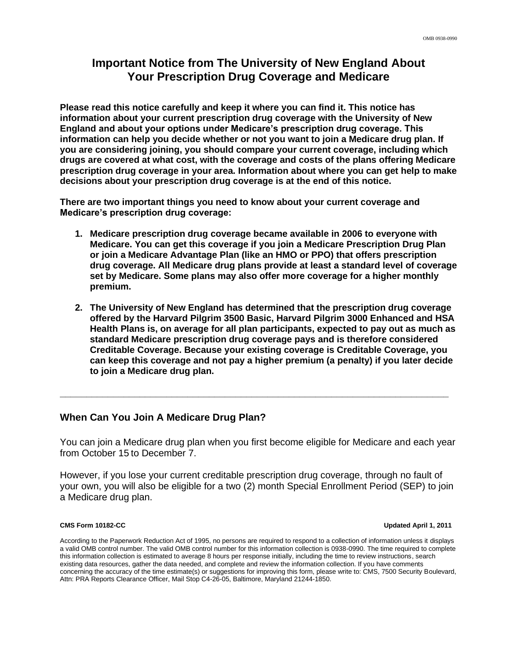# **Important Notice from The University of New England About Your Prescription Drug Coverage and Medicare**

**Please read this notice carefully and keep it where you can find it. This notice has information about your current prescription drug coverage with the University of New England and about your options under Medicare's prescription drug coverage. This information can help you decide whether or not you want to join a Medicare drug plan. If you are considering joining, you should compare your current coverage, including which drugs are covered at what cost, with the coverage and costs of the plans offering Medicare prescription drug coverage in your area. Information about where you can get help to make decisions about your prescription drug coverage is at the end of this notice.** 

**There are two important things you need to know about your current coverage and Medicare's prescription drug coverage:** 

- **1. Medicare prescription drug coverage became available in 2006 to everyone with Medicare. You can get this coverage if you join a Medicare Prescription Drug Plan or join a Medicare Advantage Plan (like an HMO or PPO) that offers prescription drug coverage. All Medicare drug plans provide at least a standard level of coverage set by Medicare. Some plans may also offer more coverage for a higher monthly premium.**
- **2. The University of New England has determined that the prescription drug coverage offered by the Harvard Pilgrim 3500 Basic, Harvard Pilgrim 3000 Enhanced and HSA Health Plans is, on average for all plan participants, expected to pay out as much as standard Medicare prescription drug coverage pays and is therefore considered Creditable Coverage. Because your existing coverage is Creditable Coverage, you can keep this coverage and not pay a higher premium (a penalty) if you later decide to join a Medicare drug plan.**

### **When Can You Join A Medicare Drug Plan?**

You can join a Medicare drug plan when you first become eligible for Medicare and each year from October 15 to December 7.

**\_\_\_\_\_\_\_\_\_\_\_\_\_\_\_\_\_\_\_\_\_\_\_\_\_\_\_\_\_\_\_\_\_\_\_\_\_\_\_\_\_\_\_\_\_\_\_\_\_\_\_\_\_\_\_\_\_\_\_\_\_\_\_\_\_\_\_\_\_\_\_\_\_**

However, if you lose your current creditable prescription drug coverage, through no fault of your own, you will also be eligible for a two (2) month Special Enrollment Period (SEP) to join a Medicare drug plan.

#### **CMS Form 10182-CC Updated April 1, 2011**

According to the Paperwork Reduction Act of 1995, no persons are required to respond to a collection of information unless it displays a valid OMB control number. The valid OMB control number for this information collection is 0938-0990. The time required to complete this information collection is estimated to average 8 hours per response initially, including the time to review instructions, search existing data resources, gather the data needed, and complete and review the information collection. If you have comments concerning the accuracy of the time estimate(s) or suggestions for improving this form, please write to: CMS, 7500 Security Boulevard, Attn: PRA Reports Clearance Officer, Mail Stop C4-26-05, Baltimore, Maryland 21244-1850.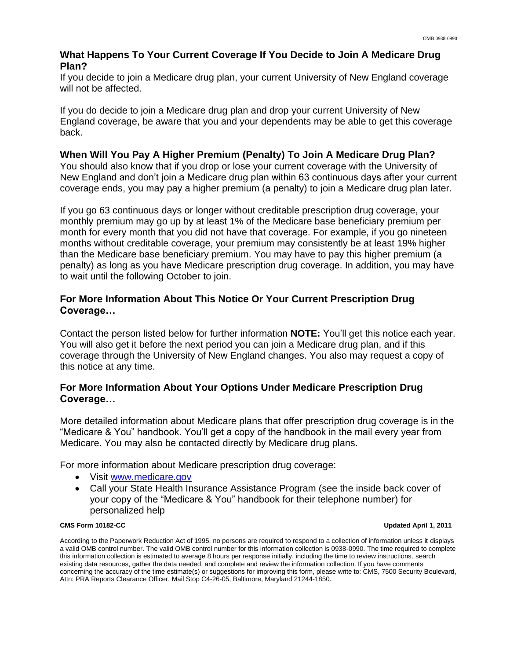### **What Happens To Your Current Coverage If You Decide to Join A Medicare Drug Plan?**

If you decide to join a Medicare drug plan, your current University of New England coverage will not be affected.

If you do decide to join a Medicare drug plan and drop your current University of New England coverage, be aware that you and your dependents may be able to get this coverage back.

### **When Will You Pay A Higher Premium (Penalty) To Join A Medicare Drug Plan?**

You should also know that if you drop or lose your current coverage with the University of New England and don't join a Medicare drug plan within 63 continuous days after your current coverage ends, you may pay a higher premium (a penalty) to join a Medicare drug plan later.

If you go 63 continuous days or longer without creditable prescription drug coverage, your monthly premium may go up by at least 1% of the Medicare base beneficiary premium per month for every month that you did not have that coverage. For example, if you go nineteen months without creditable coverage, your premium may consistently be at least 19% higher than the Medicare base beneficiary premium. You may have to pay this higher premium (a penalty) as long as you have Medicare prescription drug coverage. In addition, you may have to wait until the following October to join.

## **For More Information About This Notice Or Your Current Prescription Drug Coverage…**

Contact the person listed below for further information **NOTE:** You'll get this notice each year. You will also get it before the next period you can join a Medicare drug plan, and if this coverage through the University of New England changes. You also may request a copy of this notice at any time.

## **For More Information About Your Options Under Medicare Prescription Drug Coverage…**

More detailed information about Medicare plans that offer prescription drug coverage is in the "Medicare & You" handbook. You'll get a copy of the handbook in the mail every year from Medicare. You may also be contacted directly by Medicare drug plans.

For more information about Medicare prescription drug coverage:

- Visit [www.medicare.gov](http://www.medicare.gov/)
- Call your State Health Insurance Assistance Program (see the inside back cover of your copy of the "Medicare & You" handbook for their telephone number) for personalized help

#### **CMS Form 10182-CC Updated April 1, 2011**

According to the Paperwork Reduction Act of 1995, no persons are required to respond to a collection of information unless it displays a valid OMB control number. The valid OMB control number for this information collection is 0938-0990. The time required to complete this information collection is estimated to average 8 hours per response initially, including the time to review instructions, search existing data resources, gather the data needed, and complete and review the information collection. If you have comments concerning the accuracy of the time estimate(s) or suggestions for improving this form, please write to: CMS, 7500 Security Boulevard, Attn: PRA Reports Clearance Officer, Mail Stop C4-26-05, Baltimore, Maryland 21244-1850.